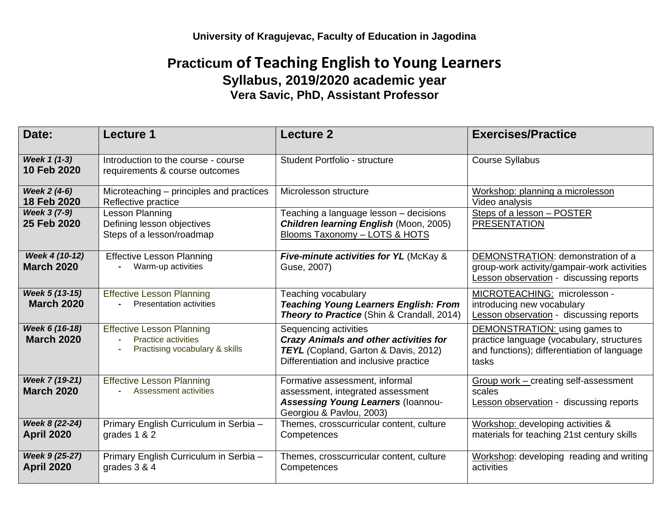## **Practicum of Teaching English to Young Learners Syllabus, 2019/2020 academic year Vera Savic, PhD, Assistant Professor**

| Date:                               | <b>Lecture 1</b>                                                                                 | <b>Lecture 2</b>                                                                                                                                                | <b>Exercises/Practice</b>                                                                                                          |
|-------------------------------------|--------------------------------------------------------------------------------------------------|-----------------------------------------------------------------------------------------------------------------------------------------------------------------|------------------------------------------------------------------------------------------------------------------------------------|
| Week 1 (1-3)<br>10 Feb 2020         | Introduction to the course - course<br>requirements & course outcomes                            | Student Portfolio - structure                                                                                                                                   | <b>Course Syllabus</b>                                                                                                             |
| Week 2 (4-6)<br>18 Feb 2020         | Microteaching – principles and practices<br>Reflective practice                                  | Microlesson structure                                                                                                                                           | Workshop: planning a microlesson<br>Video analysis                                                                                 |
| Week 3 (7-9)<br>25 Feb 2020         | <b>Lesson Planning</b><br>Defining lesson objectives<br>Steps of a lesson/roadmap                | Teaching a language lesson - decisions<br><b>Children learning English (Moon, 2005)</b><br>Blooms Taxonomy - LOTS & HOTS                                        | Steps of a lesson - POSTER<br><b>PRESENTATION</b>                                                                                  |
| Week 4 (10-12)<br><b>March 2020</b> | <b>Effective Lesson Planning</b><br>Warm-up activities                                           | <b>Five-minute activities for YL (McKay &amp;</b><br>Guse, 2007)                                                                                                | DEMONSTRATION: demonstration of a<br>group-work activity/gampair-work activities<br><b>Lesson observation - discussing reports</b> |
| Week 5 (13-15)<br><b>March 2020</b> | <b>Effective Lesson Planning</b><br><b>Presentation activities</b><br>$\sim$                     | Teaching vocabulary<br><b>Teaching Young Learners English: From</b><br><b>Theory to Practice (Shin &amp; Crandall, 2014)</b>                                    | MICROTEACHING: microlesson -<br>introducing new vocabulary<br>Lesson observation - discussing reports                              |
| Week 6 (16-18)<br><b>March 2020</b> | <b>Effective Lesson Planning</b><br><b>Practice activities</b><br>Practising vocabulary & skills | Sequencing activities<br><b>Crazy Animals and other activities for</b><br><b>TEYL</b> (Copland, Garton & Davis, 2012)<br>Differentiation and inclusive practice | DEMONSTRATION: using games to<br>practice language (vocabulary, structures<br>and functions); differentiation of language<br>tasks |
| Week 7 (19-21)<br><b>March 2020</b> | <b>Effective Lesson Planning</b><br>Assessment activities                                        | Formative assessment, informal<br>assessment, integrated assessment<br><b>Assessing Young Learners (Ioannou-</b><br>Georgiou & Pavlou, 2003)                    | Group work - creating self-assessment<br>scales<br><b>Lesson observation - discussing reports</b>                                  |
| Week 8 (22-24)<br><b>April 2020</b> | Primary English Curriculum in Serbia -<br>grades 1 & 2                                           | Themes, crosscurricular content, culture<br>Competences                                                                                                         | Workshop: developing activities &<br>materials for teaching 21st century skills                                                    |
| Week 9 (25-27)<br><b>April 2020</b> | Primary English Curriculum in Serbia -<br>grades $3 & 4$                                         | Themes, crosscurricular content, culture<br>Competences                                                                                                         | Workshop: developing reading and writing<br>activities                                                                             |